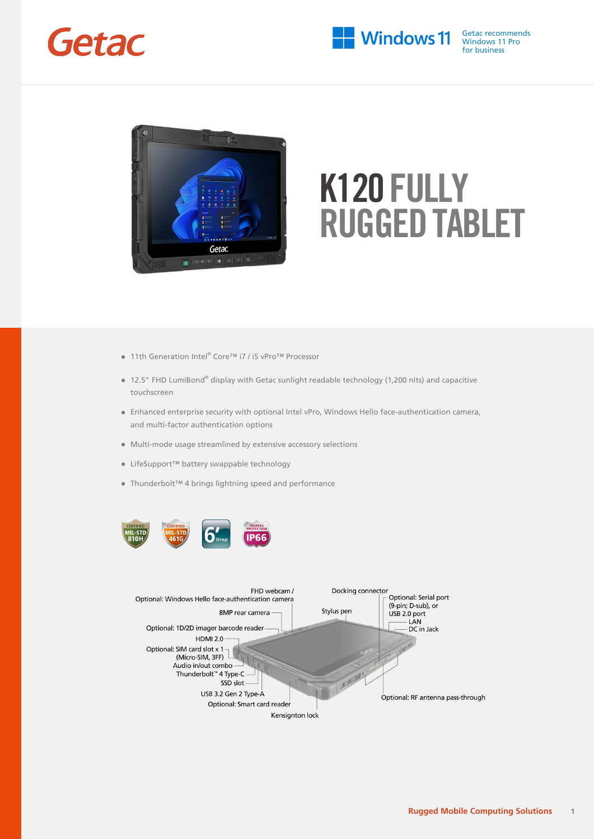



- 11th Generation Intel® Core™ i7 / i5 vPro™ Processor
- 12.5" FHD LumiBond® display with Getac sunlight readable technology (1,200 nits) and capacitive touchscreen
- Enhanced enterprise security with optional Intel vPro, Windows Hello face-authentication camera, and multi-factor authentication options
- Multi-mode usage streamlined by extensive accessory selections
- LifeSupport™ battery swappable technology
- Thunderbolt™ 4 brings lightning speed and performance



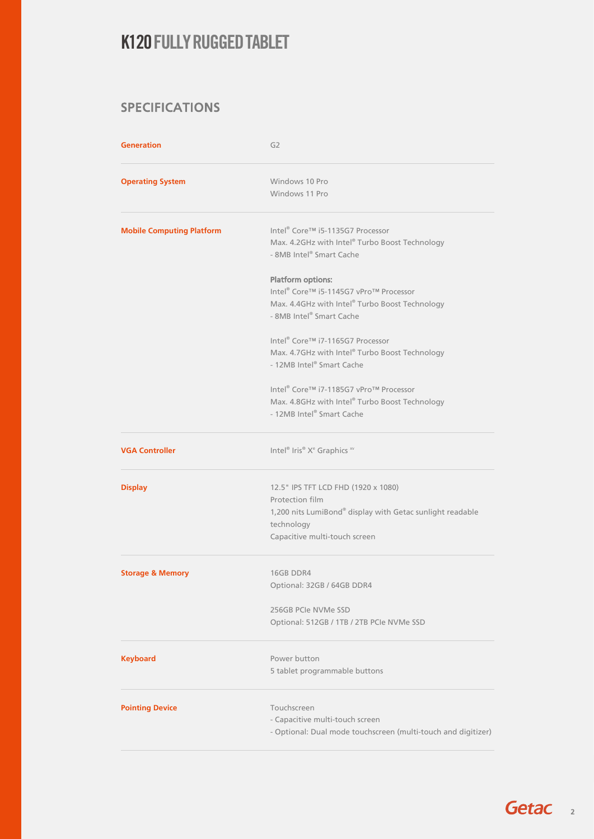### SPECIFICATIONS

| <b>Generation</b>                | G <sub>2</sub>                                                                                                                                                     |  |  |
|----------------------------------|--------------------------------------------------------------------------------------------------------------------------------------------------------------------|--|--|
| <b>Operating System</b>          | Windows 10 Pro<br>Windows 11 Pro                                                                                                                                   |  |  |
| <b>Mobile Computing Platform</b> | Intel <sup>®</sup> Core™ i5-1135G7 Processor<br>Max. 4.2GHz with Intel® Turbo Boost Technology<br>- 8MB Intel® Smart Cache                                         |  |  |
|                                  | <b>Platform options:</b><br>Intel® Core™ i5-1145G7 vPro™ Processor<br>Max. 4.4GHz with Intel® Turbo Boost Technology<br>- 8MB Intel® Smart Cache                   |  |  |
|                                  | Intel® Core™ i7-1165G7 Processor<br>Max. 4.7GHz with Intel® Turbo Boost Technology<br>- 12MB Intel® Smart Cache                                                    |  |  |
|                                  | Intel® Core™ i7-1185G7 vPro™ Processor<br>Max. 4.8GHz with Intel® Turbo Boost Technology<br>- 12MB Intel® Smart Cache                                              |  |  |
| <b>VGA Controller</b>            | Intel® Iris® Xe Graphics xv                                                                                                                                        |  |  |
| <b>Display</b>                   | 12.5" IPS TFT LCD FHD (1920 x 1080)<br>Protection film<br>1,200 nits LumiBond® display with Getac sunlight readable<br>technology<br>Capacitive multi-touch screen |  |  |
| <b>Storage &amp; Memory</b>      | 16GB DDR4<br>Optional: 32GB / 64GB DDR4                                                                                                                            |  |  |
|                                  | 256GB PCIe NVMe SSD<br>Optional: 512GB / 1TB / 2TB PCIe NVMe SSD                                                                                                   |  |  |
| <b>Keyboard</b>                  | Power button<br>5 tablet programmable buttons                                                                                                                      |  |  |
| <b>Pointing Device</b>           | Touchscreen<br>- Capacitive multi-touch screen<br>- Optional: Dual mode touchscreen (multi-touch and digitizer)                                                    |  |  |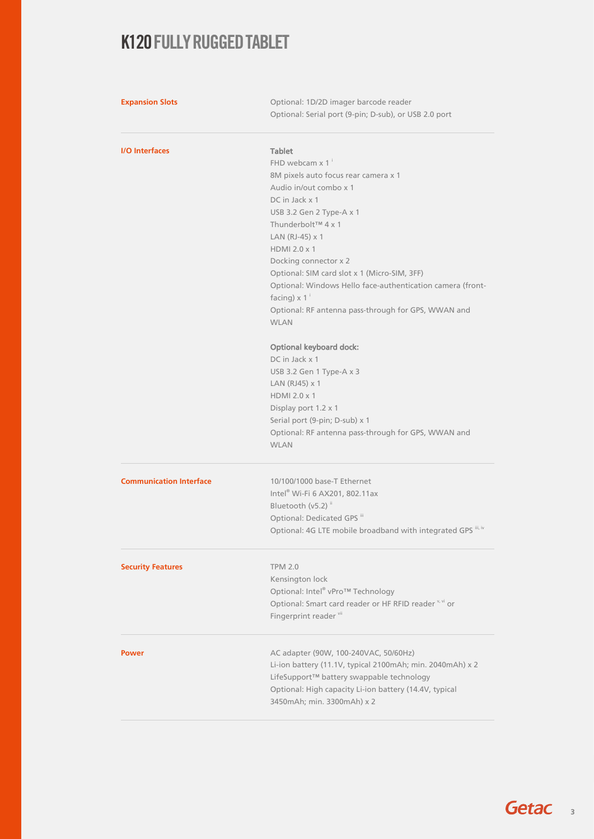| <b>Expansion Slots</b>         | Optional: 1D/2D imager barcode reader<br>Optional: Serial port (9-pin; D-sub), or USB 2.0 port |                       |  |  |
|--------------------------------|------------------------------------------------------------------------------------------------|-----------------------|--|--|
| <b>I/O</b> Interfaces          | <b>Tablet</b>                                                                                  |                       |  |  |
|                                | FHD webcam $x 1$ <sup>i</sup>                                                                  |                       |  |  |
|                                | 8M pixels auto focus rear camera x 1                                                           |                       |  |  |
|                                | Audio in/out combo x 1                                                                         |                       |  |  |
|                                | DC in Jack x 1                                                                                 |                       |  |  |
|                                | USB 3.2 Gen 2 Type-A x 1<br>Thunderbolt™ 4 x 1<br>LAN (RJ-45) x 1                              |                       |  |  |
|                                |                                                                                                |                       |  |  |
|                                |                                                                                                | Docking connector x 2 |  |  |
|                                | Optional: SIM card slot x 1 (Micro-SIM, 3FF)                                                   |                       |  |  |
|                                | Optional: Windows Hello face-authentication camera (front-                                     |                       |  |  |
|                                | facing) $\times$ 1 <sup>i</sup>                                                                |                       |  |  |
|                                | Optional: RF antenna pass-through for GPS, WWAN and                                            |                       |  |  |
|                                | <b>WLAN</b>                                                                                    |                       |  |  |
|                                | <b>Optional keyboard dock:</b>                                                                 |                       |  |  |
|                                | DC in Jack x 1                                                                                 |                       |  |  |
|                                | USB 3.2 Gen 1 Type-A x 3                                                                       |                       |  |  |
|                                | LAN (RJ45) x 1                                                                                 |                       |  |  |
|                                | HDMI 2.0 x 1                                                                                   |                       |  |  |
|                                | Display port 1.2 x 1                                                                           |                       |  |  |
|                                | Serial port (9-pin; D-sub) x 1                                                                 |                       |  |  |
|                                | Optional: RF antenna pass-through for GPS, WWAN and<br><b>WLAN</b>                             |                       |  |  |
| <b>Communication Interface</b> | 10/100/1000 base-T Ethernet                                                                    |                       |  |  |
|                                | Intel® Wi-Fi 6 AX201, 802.11ax                                                                 |                       |  |  |
|                                | Bluetooth (v5.2) <sup>ii</sup>                                                                 |                       |  |  |
|                                | Optional: Dedicated GPS iii                                                                    |                       |  |  |
|                                | Optional: 4G LTE mobile broadband with integrated GPS iii, iv                                  |                       |  |  |
| <b>Security Features</b>       | <b>TPM 2.0</b>                                                                                 |                       |  |  |
|                                | Kensington lock                                                                                |                       |  |  |
|                                | Optional: Intel® vPro™ Technology                                                              |                       |  |  |
|                                | Optional: Smart card reader or HF RFID reader v, vi or                                         |                       |  |  |
|                                | Fingerprint reader vii                                                                         |                       |  |  |
| <b>Power</b>                   | AC adapter (90W, 100-240VAC, 50/60Hz)                                                          |                       |  |  |
|                                | Li-ion battery (11.1V, typical 2100mAh; min. 2040mAh) x 2                                      |                       |  |  |
|                                | LifeSupport™ battery swappable technology                                                      |                       |  |  |
|                                | Optional: High capacity Li-ion battery (14.4V, typical                                         |                       |  |  |
|                                | 3450mAh; min. 3300mAh) x 2                                                                     |                       |  |  |
|                                |                                                                                                |                       |  |  |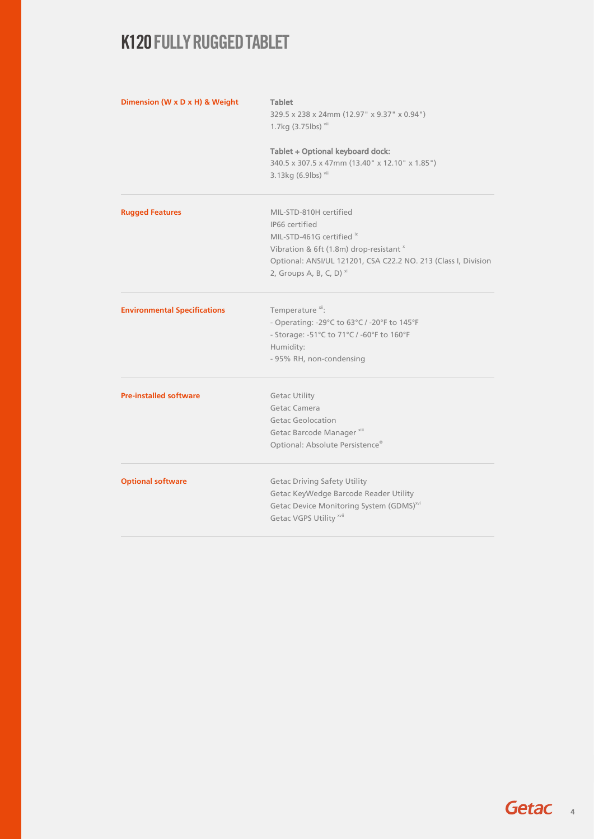| Dimension (W x D x H) & Weight      | <b>Tablet</b>                                                                                              |  |  |  |
|-------------------------------------|------------------------------------------------------------------------------------------------------------|--|--|--|
|                                     | 329.5 x 238 x 24mm (12.97" x 9.37" x 0.94")                                                                |  |  |  |
|                                     | 1.7kg (3.75lbs) viii<br>Tablet + Optional keyboard dock:<br>340.5 x 307.5 x 47mm (13.40" x 12.10" x 1.85") |  |  |  |
|                                     |                                                                                                            |  |  |  |
|                                     |                                                                                                            |  |  |  |
|                                     | 3.13kg (6.9lbs) viii                                                                                       |  |  |  |
| <b>Rugged Features</b>              | MIL-STD-810H certified                                                                                     |  |  |  |
|                                     | IP66 certified                                                                                             |  |  |  |
|                                     | MIL-STD-461G certified ix                                                                                  |  |  |  |
|                                     | Vibration & 6ft (1.8m) drop-resistant ×                                                                    |  |  |  |
|                                     | Optional: ANSI/UL 121201, CSA C22.2 NO. 213 (Class I, Division                                             |  |  |  |
|                                     | 2, Groups A, B, C, D) $^{xi}$                                                                              |  |  |  |
| <b>Environmental Specifications</b> | Temperature <sup>xii</sup> :                                                                               |  |  |  |
|                                     | - Operating: -29°C to 63°C / -20°F to 145°F                                                                |  |  |  |
|                                     | - Storage: -51°C to 71°C / -60°F to 160°F                                                                  |  |  |  |
|                                     | Humidity:                                                                                                  |  |  |  |
|                                     | - 95% RH, non-condensing                                                                                   |  |  |  |
| <b>Pre-installed software</b>       | <b>Getac Utility</b>                                                                                       |  |  |  |
|                                     | Getac Camera                                                                                               |  |  |  |
|                                     | <b>Getac Geolocation</b>                                                                                   |  |  |  |
|                                     | Getac Barcode Manager <sup>xiii</sup>                                                                      |  |  |  |
|                                     | Optional: Absolute Persistence®                                                                            |  |  |  |
| <b>Optional software</b>            | <b>Getac Driving Safety Utility</b>                                                                        |  |  |  |
|                                     | Getac KeyWedge Barcode Reader Utility                                                                      |  |  |  |
|                                     | Getac Device Monitoring System (GDMS) <sup>xvi</sup>                                                       |  |  |  |
|                                     | Getac VGPS Utility xvii                                                                                    |  |  |  |
|                                     |                                                                                                            |  |  |  |

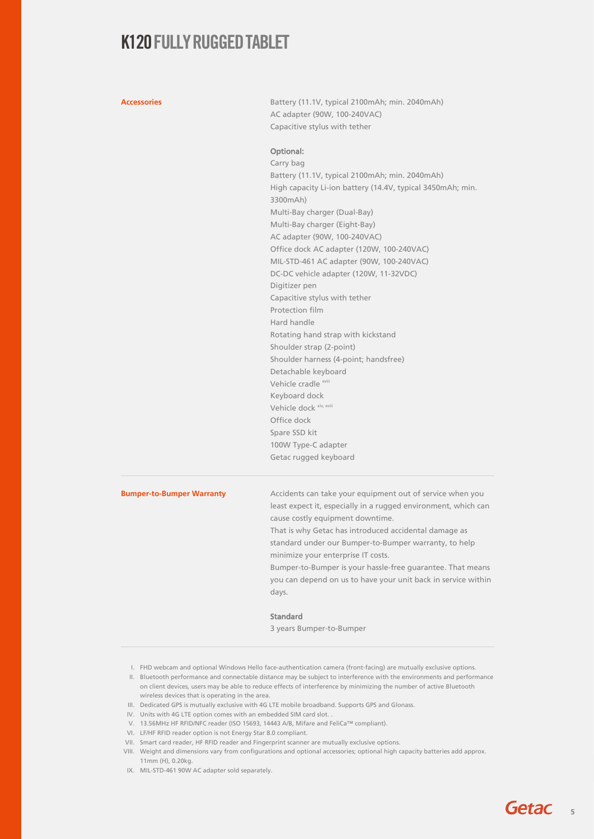Accessories **Accessories** Battery (11.1V, typical 2100mAh; min. 2040mAh) AC adapter (90W, 100-240VAC) Capacitive stylus with tether

### Optional:

Carry bag Battery (11.1V, typical 2100mAh; min. 2040mAh) High capacity Li-ion battery (14.4V, typical 3450mAh; min. 3300mAh) Multi-Bay charger (Dual-Bay) Multi-Bay charger (Eight-Bay) AC adapter (90W, 100-240VAC) Office dock AC adapter (120W, 100-240VAC) MIL-STD-461 AC adapter (90W, 100-240VAC) DC-DC vehicle adapter (120W, 11-32VDC) Digitizer pen Capacitive stylus with tether Protection film Hard handle Rotating hand strap with kickstand Shoulder strap (2-point) Shoulder harness (4-point; handsfree) Detachable keyboard Vehicle cradle xviii Keyboard dock Vehicle dock xiv, xviii Office dock Spare SSD kit 100W Type-C adapter Getac rugged keyboard

**Bumper-to-Bumper Warranty** Accidents can take your equipment out of service when you least expect it, especially in a rugged environment, which can cause costly equipment downtime. That is why Getac has introduced accidental damage as standard under our Bumper-to-Bumper warranty, to help minimize your enterprise IT costs.

Bumper-to-Bumper is your hassle-free guarantee. That means you can depend on us to have your unit back in service within days.

### Standard

3 years Bumper-to-Bumper

- I. FHD webcam and optional Windows Hello face-authentication camera (front-facing) are mutually exclusive options.
- II. Bluetooth performance and connectable distance may be subject to interference with the environments and performance on client devices, users may be able to reduce effects of interference by minimizing the number of active Bluetooth wireless devices that is operating in the area.
- III. Dedicated GPS is mutually exclusive with 4G LTE mobile broadband. Supports GPS and Glonass.
- IV. Units with 4G LTE option comes with an embedded SIM card slot. .
- V. 13.56MHz HF RFID/NFC reader (ISO 15693, 14443 A/B, Mifare and FeliCa™ compliant).
- VI. LF/HF RFID reader option is not Energy Star 8.0 compliant.
- VII. Smart card reader, HF RFID reader and Fingerprint scanner are mutually exclusive options.
- VIII. Weight and dimensions vary from configurations and optional accessories; optional high capacity batteries add approx. 11mm (H), 0.20kg.
- IX. MIL-STD-461 90W AC adapter sold separately.